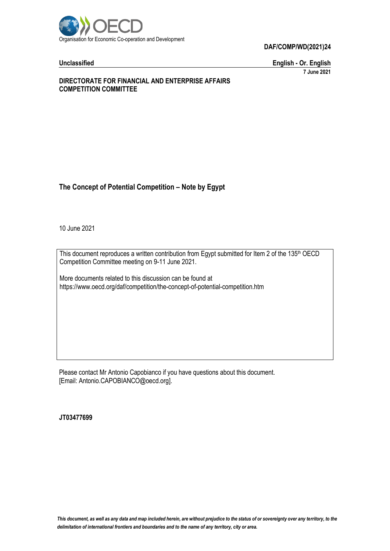

**Unclassified English - Or. English 7 June 2021**

### **DIRECTORATE FOR FINANCIAL AND ENTERPRISE AFFAIRS COMPETITION COMMITTEE**

# **The Concept of Potential Competition – Note by Egypt**

10 June 2021

This document reproduces a written contribution from Egypt submitted for Item 2 of the 135<sup>th</sup> OECD Competition Committee meeting on 9-11 June 2021.

More documents related to this discussion can be found at https://www.oecd.org/daf/competition/the-concept-of-potential-competition.htm

Please contact Mr Antonio Capobianco if you have questions about this document. [Email: Antonio.CAPOBIANCO@oecd.org].

**JT03477699**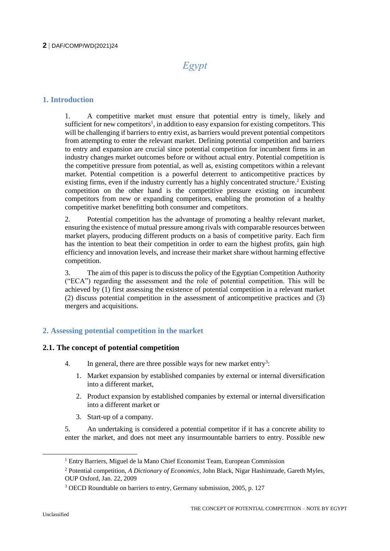# *Egypt*

# **1. Introduction**

1. A competitive market must ensure that potential entry is timely, likely and sufficient for new competitors<sup>1</sup>, in addition to easy expansion for existing competitors. This will be challenging if barriers to entry exist, as barriers would prevent potential competitors from attempting to enter the relevant market. Defining potential competition and barriers to entry and expansion are crucial since potential competition for incumbent firms in an industry changes market outcomes before or without actual entry. Potential competition is the competitive pressure from potential, as well as, existing competitors within a relevant market. Potential competition is a powerful deterrent to anticompetitive practices by existing firms, even if the industry currently has a highly concentrated structure.<sup>2</sup> Existing competition on the other hand is the competitive pressure existing on incumbent competitors from new or expanding competitors, enabling the promotion of a healthy competitive market benefitting both consumer and competitors.

2. Potential competition has the advantage of promoting a healthy relevant market, ensuring the existence of mutual pressure among rivals with comparable resources between market players, producing different products on a basis of competitive parity. Each firm has the intention to beat their competition in order to earn the highest profits, gain high efficiency and innovation levels, and increase their market share without harming effective competition.

3. The aim of this paper is to discuss the policy of the Egyptian Competition Authority ("ECA") regarding the assessment and the role of potential competition. This will be achieved by (1) first assessing the existence of potential competition in a relevant market (2) discuss potential competition in the assessment of anticompetitive practices and (3) mergers and acquisitions.

# **2. Assessing potential competition in the market**

# **2.1. The concept of potential competition**

- 4. In general, there are three possible ways for new market entry<sup>3</sup>:
	- 1. Market expansion by established companies by external or internal diversification into a different market,
	- 2. Product expansion by established companies by external or internal diversification into a different market or
	- 3. Start-up of a company.

5. An undertaking is considered a potential competitor if it has a concrete ability to enter the market, and does not meet any insurmountable barriers to entry. Possible new

<sup>&</sup>lt;sup>1</sup> Entry Barriers, Miguel de la Mano Chief Economist Team, European Commission

<sup>2</sup> Potential competition, *A Dictionary of Economics*, John Black, Nigar Hashimzade, Gareth Myles, OUP Oxford, Jan. 22, 2009

<sup>3</sup> OECD Roundtable on barriers to entry, Germany submission, 2005, p. 127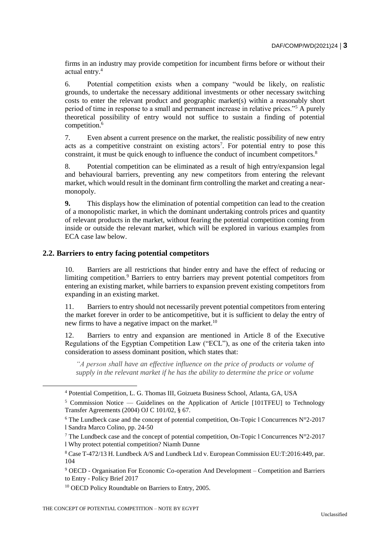firms in an industry may provide competition for incumbent firms before or without their actual entry.<sup>4</sup>

6. Potential competition exists when a company "would be likely, on realistic grounds, to undertake the necessary additional investments or other necessary switching costs to enter the relevant product and geographic market(s) within a reasonably short period of time in response to a small and permanent increase in relative prices."<sup>5</sup> A purely theoretical possibility of entry would not suffice to sustain a finding of potential competition.<sup>6</sup>

7. Even absent a current presence on the market, the realistic possibility of new entry acts as a competitive constraint on existing actors<sup>7</sup>. For potential entry to pose this constraint, it must be quick enough to influence the conduct of incumbent competitors.<sup>8</sup>

8. Potential competition can be eliminated as a result of high entry/expansion legal and behavioural barriers, preventing any new competitors from entering the relevant market, which would result in the dominant firm controlling the market and creating a nearmonopoly.

**9.** This displays how the elimination of potential competition can lead to the creation of a monopolistic market, in which the dominant undertaking controls prices and quantity of relevant products in the market, without fearing the potential competition coming from inside or outside the relevant market, which will be explored in various examples from ECA case law below.

#### **2.2. Barriers to entry facing potential competitors**

10. Barriers are all restrictions that hinder entry and have the effect of reducing or limiting competition.<sup>9</sup> Barriers to entry barriers may prevent potential competitors from entering an existing market, while barriers to expansion prevent existing competitors from expanding in an existing market.

11. Barriers to entry should not necessarily prevent potential competitors from entering the market forever in order to be anticompetitive, but it is sufficient to delay the entry of new firms to have a negative impact on the market.<sup>10</sup>

12. Barriers to entry and expansion are mentioned in Article 8 of the Executive Regulations of the Egyptian Competition Law ("ECL"), as one of the criteria taken into consideration to assess dominant position, which states that:

*"A person shall have an effective influence on the price of products or volume of supply in the relevant market if he has the ability to determine the price or volume* 

 $\overline{a}$ 

<sup>4</sup> Potential Competition, L. G. Thomas III, Goizueta Business School, Atlanta, GA, USA

 $5$  Commission Notice — Guidelines on the Application of Article [101TFEU] to Technology Transfer Agreements (2004) OJ C 101/02, § 67.

<sup>&</sup>lt;sup>6</sup> The Lundbeck case and the concept of potential competition, On-Topic 1 Concurrences  $N^{\circ}2$ -2017 l Sandra Marco Colino, pp. 24-50

<sup>&</sup>lt;sup>7</sup> The Lundbeck case and the concept of potential competition, On-Topic 1 Concurrences  $N^{\circ}2$ -2017 l Why protect potential competition? Niamh Dunne

<sup>8</sup> Case T-472/13 H. Lundbeck A/S and Lundbeck Ltd v. European Commission EU:T:2016:449, par. 104

<sup>9</sup> OECD - Organisation For Economic Co-operation And Development – Competition and Barriers to Entry - Policy Brief 2017

<sup>10</sup> OECD Policy Roundtable on Barriers to Entry, 2005.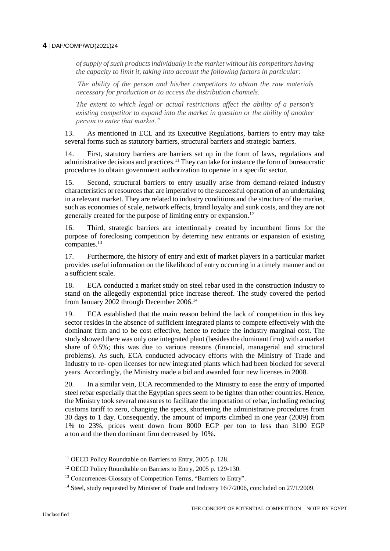*of supply of such products individually in the market without his competitors having the capacity to limit it, taking into account the following factors in particular:*

*The ability of the person and his/her competitors to obtain the raw materials necessary for production or to access the distribution channels.*

*The extent to which legal or actual restrictions affect the ability of a person's existing competitor to expand into the market in question or the ability of another person to enter that market."*

13. As mentioned in ECL and its Executive Regulations, barriers to entry may take several forms such as statutory barriers, structural barriers and strategic barriers.

14. First, statutory barriers are barriers set up in the form of laws, regulations and administrative decisions and practices.<sup>11</sup> They can take for instance the form of bureaucratic procedures to obtain government authorization to operate in a specific sector.

15. Second, structural barriers to entry usually arise from demand-related industry characteristics or resources that are imperative to the successful operation of an undertaking in a relevant market. They are related to industry conditions and the structure of the market, such as economies of scale, network effects, brand loyalty and sunk costs, and they are not generally created for the purpose of limiting entry or expansion.<sup>12</sup>

16. Third, strategic barriers are intentionally created by incumbent firms for the purpose of foreclosing competition by deterring new entrants or expansion of existing companies.<sup>13</sup>

17. Furthermore, the history of entry and exit of market players in a particular market provides useful information on the likelihood of entry occurring in a timely manner and on a sufficient scale.

18. ECA conducted a market study on steel rebar used in the construction industry to stand on the allegedly exponential price increase thereof. The study covered the period from January 2002 through December 2006.<sup>14</sup>

19. ECA established that the main reason behind the lack of competition in this key sector resides in the absence of sufficient integrated plants to compete effectively with the dominant firm and to be cost effective, hence to reduce the industry marginal cost. The study showed there was only one integrated plant (besides the dominant firm) with a market share of 0.5%; this was due to various reasons (financial, managerial and structural problems). As such, ECA conducted advocacy efforts with the Ministry of Trade and Industry to re- open licenses for new integrated plants which had been blocked for several years. Accordingly, the Ministry made a bid and awarded four new licenses in 2008.

20. In a similar vein, ECA recommended to the Ministry to ease the entry of imported steel rebar especially that the Egyptian specs seem to be tighter than other countries. Hence, the Ministry took several measures to facilitate the importation of rebar, including reducing customs tariff to zero, changing the specs, shortening the administrative procedures from 30 days to 1 day. Consequently, the amount of imports climbed in one year (2009) from 1% to 23%, prices went down from 8000 EGP per ton to less than 3100 EGP a ton and the then dominant firm decreased by 10%.

<sup>&</sup>lt;sup>11</sup> OECD Policy Roundtable on Barriers to Entry, 2005 p. 128.

<sup>&</sup>lt;sup>12</sup> OECD Policy Roundtable on Barriers to Entry, 2005 p. 129-130.

<sup>&</sup>lt;sup>13</sup> Concurrences Glossary of Competition Terms, "Barriers to Entry".

<sup>&</sup>lt;sup>14</sup> Steel, study requested by Minister of Trade and Industry 16/7/2006, concluded on 27/1/2009.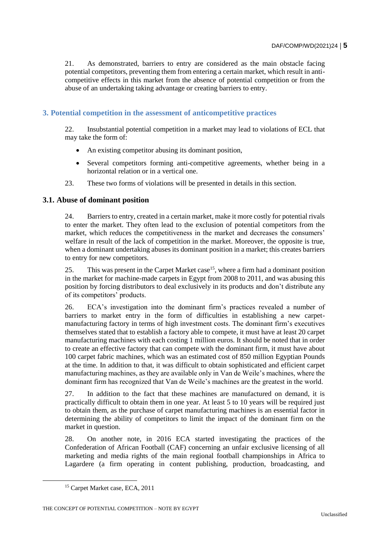21. As demonstrated, barriers to entry are considered as the main obstacle facing potential competitors, preventing them from entering a certain market, which result in anticompetitive effects in this market from the absence of potential competition or from the abuse of an undertaking taking advantage or creating barriers to entry.

# **3. Potential competition in the assessment of anticompetitive practices**

22. Insubstantial potential competition in a market may lead to violations of ECL that may take the form of:

- An existing competitor abusing its dominant position,
- Several competitors forming anti-competitive agreements, whether being in a horizontal relation or in a vertical one.
- 23. These two forms of violations will be presented in details in this section.

### **3.1. Abuse of dominant position**

24. Barriers to entry, created in a certain market, make it more costly for potential rivals to enter the market. They often lead to the exclusion of potential competitors from the market, which reduces the competitiveness in the market and decreases the consumers' welfare in result of the lack of competition in the market. Moreover, the opposite is true, when a dominant undertaking abuses its dominant position in a market; this creates barriers to entry for new competitors.

25. This was present in the Carpet Market case  $15$ , where a firm had a dominant position in the market for machine-made carpets in Egypt from 2008 to 2011, and was abusing this position by forcing distributors to deal exclusively in its products and don't distribute any of its competitors' products.

26. ECA's investigation into the dominant firm's practices revealed a number of barriers to market entry in the form of difficulties in establishing a new carpetmanufacturing factory in terms of high investment costs. The dominant firm's executives themselves stated that to establish a factory able to compete, it must have at least 20 carpet manufacturing machines with each costing 1 million euros. It should be noted that in order to create an effective factory that can compete with the dominant firm, it must have about 100 carpet fabric machines, which was an estimated cost of 850 million Egyptian Pounds at the time. In addition to that, it was difficult to obtain sophisticated and efficient carpet manufacturing machines, as they are available only in Van de Weile's machines, where the dominant firm has recognized that Van de Weile's machines are the greatest in the world.

27. In addition to the fact that these machines are manufactured on demand, it is practically difficult to obtain them in one year. At least 5 to 10 years will be required just to obtain them, as the purchase of carpet manufacturing machines is an essential factor in determining the ability of competitors to limit the impact of the dominant firm on the market in question.

28. On another note, in 2016 ECA started investigating the practices of the Confederation of African Football (CAF) concerning an unfair exclusive licensing of all marketing and media rights of the main regional football championships in Africa to Lagardere (a firm operating in content publishing, production, broadcasting, and

<sup>&</sup>lt;sup>15</sup> Carpet Market case, ECA, 2011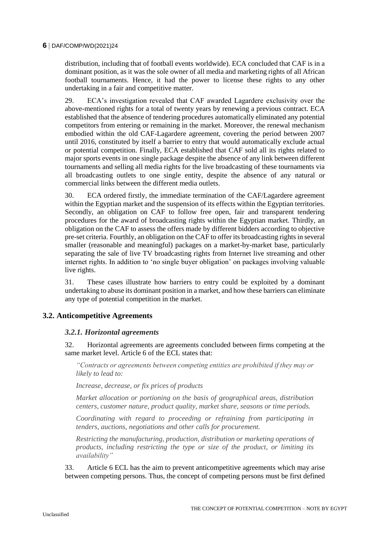distribution, including that of football events worldwide). ECA concluded that CAF is in a dominant position, as it was the sole owner of all media and marketing rights of all African football tournaments. Hence, it had the power to license these rights to any other undertaking in a fair and competitive matter.

29. ECA's investigation revealed that CAF awarded Lagardere exclusivity over the above-mentioned rights for a total of twenty years by renewing a previous contract. ECA established that the absence of tendering procedures automatically eliminated any potential competitors from entering or remaining in the market. Moreover, the renewal mechanism embodied within the old CAF-Lagardere agreement, covering the period between 2007 until 2016, constituted by itself a barrier to entry that would automatically exclude actual or potential competition. Finally, ECA established that CAF sold all its rights related to major sports events in one single package despite the absence of any link between different tournaments and selling all media rights for the live broadcasting of these tournaments via all broadcasting outlets to one single entity, despite the absence of any natural or commercial links between the different media outlets.

30. ECA ordered firstly, the immediate termination of the CAF/Lagardere agreement within the Egyptian market and the suspension of its effects within the Egyptian territories. Secondly, an obligation on CAF to follow free open, fair and transparent tendering procedures for the award of broadcasting rights within the Egyptian market. Thirdly, an obligation on the CAF to assess the offers made by different bidders according to objective pre-set criteria. Fourthly, an obligation on the CAF to offer its broadcasting rights in several smaller (reasonable and meaningful) packages on a market-by-market base, particularly separating the sale of live TV broadcasting rights from Internet live streaming and other internet rights. In addition to 'no single buyer obligation' on packages involving valuable live rights.

31. These cases illustrate how barriers to entry could be exploited by a dominant undertaking to abuse its dominant position in a market, and how these barriers can eliminate any type of potential competition in the market.

# **3.2. Anticompetitive Agreements**

#### *3.2.1. Horizontal agreements*

32. Horizontal agreements are agreements concluded between firms competing at the same market level. Article 6 of the ECL states that:

*"Contracts or agreements between competing entities are prohibited if they may or likely to lead to:*

*Increase, decrease, or fix prices of products*

*Market allocation or portioning on the basis of geographical areas, distribution centers, customer nature, product quality, market share, seasons or time periods.*

*Coordinating with regard to proceeding or refraining from participating in tenders, auctions, negotiations and other calls for procurement.* 

*Restricting the manufacturing, production, distribution or marketing operations of products, including restricting the type or size of the product, or limiting its availability"*

33. Article 6 ECL has the aim to prevent anticompetitive agreements which may arise between competing persons. Thus, the concept of competing persons must be first defined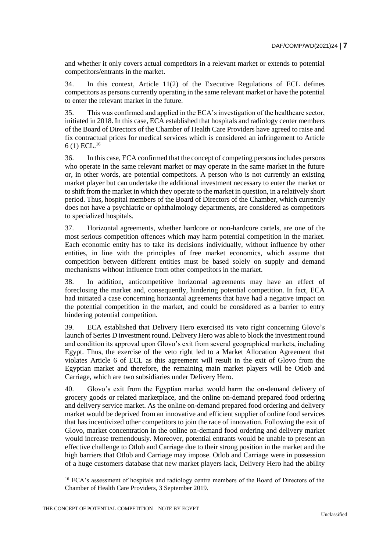and whether it only covers actual competitors in a relevant market or extends to potential competitors/entrants in the market.

34. In this context, Article 11(2) of the Executive Regulations of ECL defines competitors as persons currently operating in the same relevant market or have the potential to enter the relevant market in the future.

35. This was confirmed and applied in the ECA's investigation of the healthcare sector, initiated in 2018. In this case, ECA established that hospitals and radiology center members of the Board of Directors of the Chamber of Health Care Providers have agreed to raise and fix contractual prices for medical services which is considered an infringement to Article  $6(1)$  ECL.<sup>16</sup>

36. In this case, ECA confirmed that the concept of competing persons includes persons who operate in the same relevant market or may operate in the same market in the future or, in other words, are potential competitors. A person who is not currently an existing market player but can undertake the additional investment necessary to enter the market or to shift from the market in which they operate to the market in question, in a relatively short period. Thus, hospital members of the Board of Directors of the Chamber, which currently does not have a psychiatric or ophthalmology departments, are considered as competitors to specialized hospitals.

37. Horizontal agreements, whether hardcore or non-hardcore cartels, are one of the most serious competition offences which may harm potential competition in the market. Each economic entity has to take its decisions individually, without influence by other entities, in line with the principles of free market economics, which assume that competition between different entities must be based solely on supply and demand mechanisms without influence from other competitors in the market.

38. In addition, anticompetitive horizontal agreements may have an effect of foreclosing the market and, consequently, hindering potential competition. In fact, ECA had initiated a case concerning horizontal agreements that have had a negative impact on the potential competition in the market, and could be considered as a barrier to entry hindering potential competition.

39. ECA established that Delivery Hero exercised its veto right concerning Glovo's launch of Series D investment round. Delivery Hero was able to block the investment round and condition its approval upon Glovo's exit from several geographical markets, including Egypt. Thus, the exercise of the veto right led to a Market Allocation Agreement that violates Article 6 of ECL as this agreement will result in the exit of Glovo from the Egyptian market and therefore, the remaining main market players will be Otlob and Carriage, which are two subsidiaries under Delivery Hero.

40. Glovo's exit from the Egyptian market would harm the on-demand delivery of grocery goods or related marketplace, and the online on-demand prepared food ordering and delivery service market. As the online on-demand prepared food ordering and delivery market would be deprived from an innovative and efficient supplier of online food services that has incentivized other competitors to join the race of innovation. Following the exit of Glovo, market concentration in the online on-demand food ordering and delivery market would increase tremendously. Moreover, potential entrants would be unable to present an effective challenge to Otlob and Carriage due to their strong position in the market and the high barriers that Otlob and Carriage may impose. Otlob and Carriage were in possession of a huge customers database that new market players lack, Delivery Hero had the ability

<sup>&</sup>lt;sup>16</sup> ECA's assessment of hospitals and radiology centre members of the Board of Directors of the Chamber of Health Care Providers, 3 September 2019.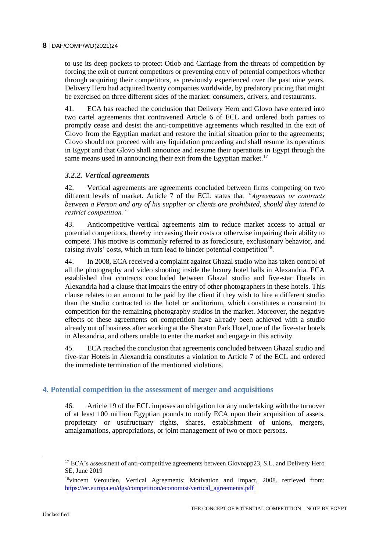to use its deep pockets to protect Otlob and Carriage from the threats of competition by forcing the exit of current competitors or preventing entry of potential competitors whether through acquiring their competitors, as previously experienced over the past nine years. Delivery Hero had acquired twenty companies worldwide, by predatory pricing that might be exercised on three different sides of the market: consumers, drivers, and restaurants.

41. ECA has reached the conclusion that Delivery Hero and Glovo have entered into two cartel agreements that contravened Article 6 of ECL and ordered both parties to promptly cease and desist the anti-competitive agreements which resulted in the exit of Glovo from the Egyptian market and restore the initial situation prior to the agreements; Glovo should not proceed with any liquidation proceeding and shall resume its operations in Egypt and that Glovo shall announce and resume their operations in Egypt through the same means used in announcing their exit from the Egyptian market.<sup>17</sup>

# *3.2.2. Vertical agreements*

42. Vertical agreements are agreements concluded between firms competing on two different levels of market. Article 7 of the ECL states that *"Agreements or contracts between a Person and any of his supplier or clients are prohibited, should they intend to restrict competition."*

43. Anticompetitive vertical agreements aim to reduce market access to actual or potential competitors, thereby increasing their costs or otherwise impairing their ability to compete. This motive is commonly referred to as foreclosure, exclusionary behavior, and raising rivals' costs, which in turn lead to hinder potential competition<sup>18</sup>.

44. In 2008, ECA received a complaint against Ghazal studio who has taken control of all the photography and video shooting inside the luxury hotel halls in Alexandria. ECA established that contracts concluded between Ghazal studio and five-star Hotels in Alexandria had a clause that impairs the entry of other photographers in these hotels. This clause relates to an amount to be paid by the client if they wish to hire a different studio than the studio contracted to the hotel or auditorium, which constitutes a constraint to competition for the remaining photography studios in the market. Moreover, the negative effects of these agreements on competition have already been achieved with a studio already out of business after working at the Sheraton Park Hotel, one of the five-star hotels in Alexandria, and others unable to enter the market and engage in this activity.

45. ECA reached the conclusion that agreements concluded between Ghazal studio and five-star Hotels in Alexandria constitutes a violation to Article 7 of the ECL and ordered the immediate termination of the mentioned violations.

# **4. Potential competition in the assessment of merger and acquisitions**

46. Article 19 of the ECL imposes an obligation for any undertaking with the turnover of at least 100 million Egyptian pounds to notify ECA upon their acquisition of assets, proprietary or usufructuary rights, shares, establishment of unions, mergers, amalgamations, appropriations, or joint management of two or more persons.

<sup>&</sup>lt;sup>17</sup> ECA's assessment of anti-competitive agreements between Glovoapp23, S.L. and Delivery Hero SE, June 2019

<sup>&</sup>lt;sup>18</sup>vincent Verouden, Vertical Agreements: Motivation and Impact, 2008. retrieved from: [https://ec.europa.eu/dgs/competition/economist/vertical\\_agreements.pdf](https://ec.europa.eu/dgs/competition/economist/vertical_agreements.pdf)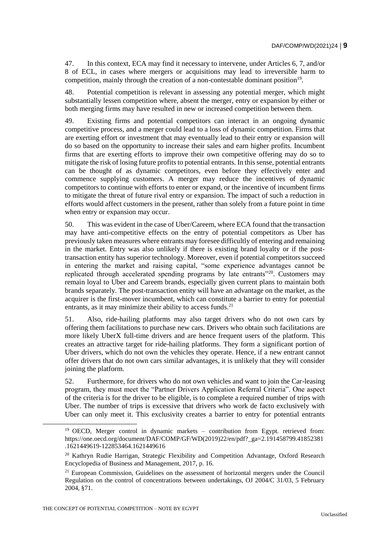47. In this context, ECA may find it necessary to intervene, under Articles 6, 7, and/or 8 of ECL, in cases where mergers or acquisitions may lead to irreversible harm to competition, mainly through the creation of a non-contestable dominant position<sup>19</sup>.

48. Potential competition is relevant in assessing any potential merger, which might substantially lessen competition where, absent the merger, entry or expansion by either or both merging firms may have resulted in new or increased competition between them.

49. Existing firms and potential competitors can interact in an ongoing dynamic competitive process, and a merger could lead to a loss of dynamic competition. Firms that are exerting effort or investment that may eventually lead to their entry or expansion will do so based on the opportunity to increase their sales and earn higher profits. Incumbent firms that are exerting efforts to improve their own competitive offering may do so to mitigate the risk of losing future profits to potential entrants. In this sense, potential entrants can be thought of as dynamic competitors, even before they effectively enter and commence supplying customers. A merger may reduce the incentives of dynamic competitors to continue with efforts to enter or expand, or the incentive of incumbent firms to mitigate the threat of future rival entry or expansion. The impact of such a reduction in efforts would affect customers in the present, rather than solely from a future point in time when entry or expansion may occur.

50. This was evident in the case of Uber/Careem, where ECA found that the transaction may have anti-competitive effects on the entry of potential competitors as Uber has previously taken measures where entrants may foresee difficultly of entering and remaining in the market. Entry was also unlikely if there is existing brand loyalty or if the posttransaction entity has superior technology. Moreover, even if potential competitors succeed in entering the market and raising capital, "some experience advantages cannot be replicated through accelerated spending programs by late entrants"<sup>20</sup>. Customers may remain loyal to Uber and Careem brands, especially given current plans to maintain both brands separately. The post-transaction entity will have an advantage on the market, as the acquirer is the first-mover incumbent, which can constitute a barrier to entry for potential entrants, as it may minimize their ability to access funds. $21$ 

51. Also, ride-hailing platforms may also target drivers who do not own cars by offering them facilitations to purchase new cars. Drivers who obtain such facilitations are more likely UberX full-time drivers and are hence frequent users of the platform. This creates an attractive target for ride-hailing platforms. They form a significant portion of Uber drivers, which do not own the vehicles they operate. Hence, if a new entrant cannot offer drivers that do not own cars similar advantages, it is unlikely that they will consider joining the platform.

52. Furthermore, for drivers who do not own vehicles and want to join the Car-leasing program, they must meet the "Partner Drivers Application Referral Criteria". One aspect of the criteria is for the driver to be eligible, is to complete a required number of trips with Uber. The number of trips is excessive that drivers who work de facto exclusively with Uber can only meet it. This exclusivity creates a barrier to entry for potential entrants

<sup>19</sup> OECD, Merger control in dynamic markets – contribution from Egypt. retrieved from: [https://one.oecd.org/document/DAF/COMP/GF/WD\(2019\)22/en/pdf?\\_ga=2.191458799.41852381](https://one.oecd.org/document/DAF/COMP/GF/WD(2019)22/en/pdf?_ga=2.191458799.41852381.1621449619-122853464.1621449616) [.1621449619-122853464.1621449616](https://one.oecd.org/document/DAF/COMP/GF/WD(2019)22/en/pdf?_ga=2.191458799.41852381.1621449619-122853464.1621449616) 

<sup>&</sup>lt;sup>20</sup> Kathryn Rudie Harrigan, Strategic Flexibility and Competition Advantage, Oxford Research Encyclopedia of Business and Management, 2017, p. 16.

 $21$  European Commission, Guidelines on the assessment of horizontal mergers under the Council Regulation on the control of concentrations between undertakings, OJ 2004/C 31/03, 5 February 2004, §71.